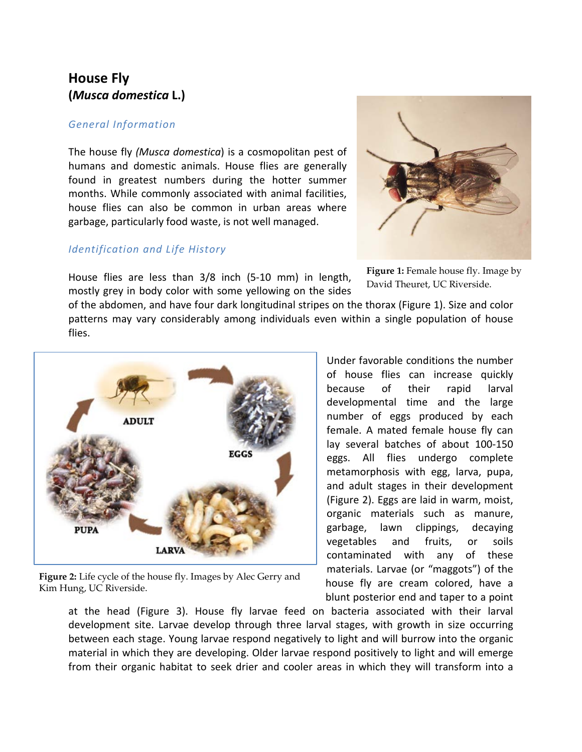# **House Fly (***Musca domestica* **L.)**

## *General Information*

The house fly *(Musca domestica*) is a cosmopolitan pest of humans and domestic animals. House flies are generally found in greatest numbers during the hotter summer months. While commonly associated with animal facilities, house flies can also be common in urban areas where garbage, particularly food waste, is not well managed.

### *Identification and Life History*



**Figure 1:** Female house fly. Image by David Theuret, UC Riverside.

House flies are less than 3/8 inch (5-10 mm) in length, mostly grey in body color with some yellowing on the sides

of the abdomen, and have four dark longitudinal stripes on the thorax (Figure 1). Size and color patterns may vary considerably among individuals even within a single population of house flies.



**Figure 2:** Life cycle of the house fly. Images by Alec Gerry and Kim Hung, UC Riverside.

Under favorable conditions the number of house flies can increase quickly because of their rapid larval developmental time and the large number of eggs produced by each female. A mated female house fly can lay several batches of about 100-150 eggs. All flies undergo complete metamorphosis with egg, larva, pupa, and adult stages in their development (Figure 2). Eggs are laid in warm, moist, organic materials such as manure, garbage, lawn clippings, decaying vegetables and fruits, or soils contaminated with any of these materials. Larvae (or "maggots") of the house fly are cream colored, have a blunt posterior end and taper to a point

at the head (Figure 3). House fly larvae feed on bacteria associated with their larval development site. Larvae develop through three larval stages, with growth in size occurring between each stage. Young larvae respond negatively to light and will burrow into the organic material in which they are developing. Older larvae respond positively to light and will emerge from their organic habitat to seek drier and cooler areas in which they will transform into a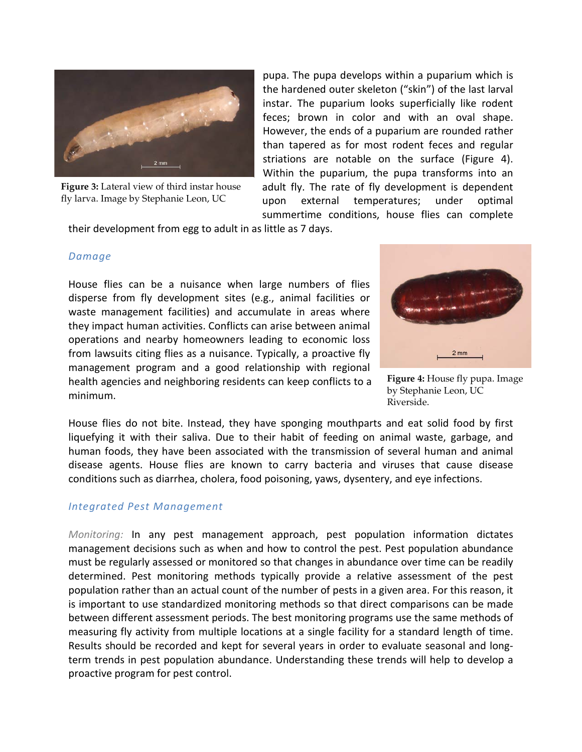

**Figure 3:** Lateral view of third instar house fly larva. Image by Stephanie Leon, UC

pupa. The pupa develops within a puparium which is the hardened outer skeleton ("skin") of the last larval instar. The puparium looks superficially like rodent feces; brown in color and with an oval shape. However, the ends of a puparium are rounded rather than tapered as for most rodent feces and regular striations are notable on the surface (Figure 4). Within the puparium, the pupa transforms into an adult fly. The rate of fly development is dependent upon external temperatures; under optimal summertime conditions, house flies can complete

their development from egg to adult in as little as 7 days.

## *Damage*

House flies can be a nuisance when large numbers of flies disperse from fly development sites (e.g., animal facilities or waste management facilities) and accumulate in areas where they impact human activities. Conflicts can arise between animal operations and nearby homeowners leading to economic loss from lawsuits citing flies as a nuisance. Typically, a proactive fly management program and a good relationship with regional health agencies and neighboring residents can keep conflicts to a minimum.



**Figure 4:** House fly pupa. Image by Stephanie Leon, UC Riverside.

House flies do not bite. Instead, they have sponging mouthparts and eat solid food by first liquefying it with their saliva. Due to their habit of feeding on animal waste, garbage, and human foods, they have been associated with the transmission of several human and animal disease agents. House flies are known to carry bacteria and viruses that cause disease conditions such as diarrhea, cholera, food poisoning, yaws, dysentery, and eye infections.

# *Integrated Pest Management*

*Monitoring:* In any pest management approach, pest population information dictates management decisions such as when and how to control the pest. Pest population abundance must be regularly assessed or monitored so that changes in abundance over time can be readily determined. Pest monitoring methods typically provide a relative assessment of the pest population rather than an actual count of the number of pests in a given area. For this reason, it is important to use standardized monitoring methods so that direct comparisons can be made between different assessment periods. The best monitoring programs use the same methods of measuring fly activity from multiple locations at a single facility for a standard length of time. Results should be recorded and kept for several years in order to evaluate seasonal and longterm trends in pest population abundance. Understanding these trends will help to develop a proactive program for pest control.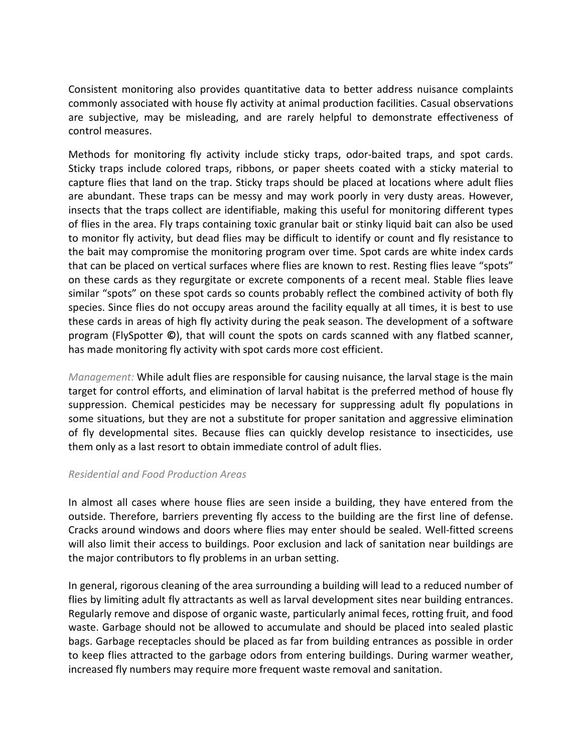Consistent monitoring also provides quantitative data to better address nuisance complaints commonly associated with house fly activity at animal production facilities. Casual observations are subjective, may be misleading, and are rarely helpful to demonstrate effectiveness of control measures.

Methods for monitoring fly activity include sticky traps, odor-baited traps, and spot cards. Sticky traps include colored traps, ribbons, or paper sheets coated with a sticky material to capture flies that land on the trap. Sticky traps should be placed at locations where adult flies are abundant. These traps can be messy and may work poorly in very dusty areas. However, insects that the traps collect are identifiable, making this useful for monitoring different types of flies in the area. Fly traps containing toxic granular bait or stinky liquid bait can also be used to monitor fly activity, but dead flies may be difficult to identify or count and fly resistance to the bait may compromise the monitoring program over time. Spot cards are white index cards that can be placed on vertical surfaces where flies are known to rest. Resting flies leave "spots" on these cards as they regurgitate or excrete components of a recent meal. Stable flies leave similar "spots" on these spot cards so counts probably reflect the combined activity of both fly species. Since flies do not occupy areas around the facility equally at all times, it is best to use these cards in areas of high fly activity during the peak season. The development of a software program (FlySpotter **©**), that will count the spots on cards scanned with any flatbed scanner, has made monitoring fly activity with spot cards more cost efficient.

*Management:* While adult flies are responsible for causing nuisance, the larval stage is the main target for control efforts, and elimination of larval habitat is the preferred method of house fly suppression. Chemical pesticides may be necessary for suppressing adult fly populations in some situations, but they are not a substitute for proper sanitation and aggressive elimination of fly developmental sites. Because flies can quickly develop resistance to insecticides, use them only as a last resort to obtain immediate control of adult flies.

#### *Residential and Food Production Areas*

In almost all cases where house flies are seen inside a building, they have entered from the outside. Therefore, barriers preventing fly access to the building are the first line of defense. Cracks around windows and doors where flies may enter should be sealed. Well-fitted screens will also limit their access to buildings. Poor exclusion and lack of sanitation near buildings are the major contributors to fly problems in an urban setting.

In general, rigorous cleaning of the area surrounding a building will lead to a reduced number of flies by limiting adult fly attractants as well as larval development sites near building entrances. Regularly remove and dispose of organic waste, particularly animal feces, rotting fruit, and food waste. Garbage should not be allowed to accumulate and should be placed into sealed plastic bags. Garbage receptacles should be placed as far from building entrances as possible in order to keep flies attracted to the garbage odors from entering buildings. During warmer weather, increased fly numbers may require more frequent waste removal and sanitation.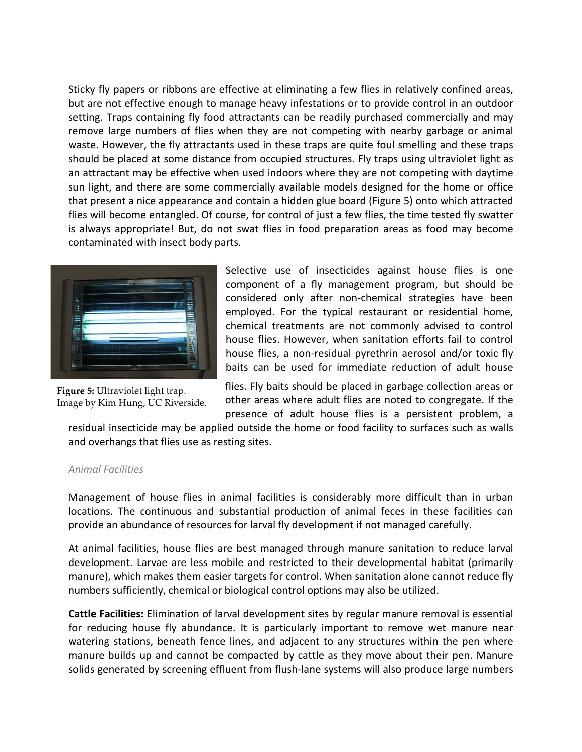Sticky fly papers or ribbons are effective at eliminating a few flies in relatively confined areas, but are not effective enough to manage heavy infestations or to provide control in an outdoor setting. Traps containing fly food attractants can be readily purchased commercially and may remove large numbers of flies when they are not competing with nearby garbage or animal waste. However, the fly attractants used in these traps are quite foul smelling and these traps should be placed at some distance from occupied structures. Fly traps using ultraviolet light as an attractant may be effective when used indoors where they are not competing with daytime sun light, and there are some commercially available models designed for the home or office that present a nice appearance and contain a hidden glue board (Figure 5) onto which attracted flies will become entangled. Of course, for control of just a few flies, the time tested fly swatter is always appropriate! But, do not swat flies in food preparation areas as food may become contaminated with insect body parts.



**Figure 5:** Ultraviolet light trap. Image by Kim Hung, UC Riverside.

Selective use of insecticides against house flies is one component of a fly management program, but should be considered only after non-chemical strategies have been employed. For the typical restaurant or residential home, chemical treatments are not commonly advised to control house flies. However, when sanitation efforts fail to control house flies, a non-residual pyrethrin aerosol and/or toxic fly baits can be used for immediate reduction of adult house

flies. Fly baits should be placed in garbage collection areas or other areas where adult flies are noted to congregate. If the presence of adult house flies is a persistent problem, a

residual insecticide may be applied outside the home or food facility to surfaces such as walls and overhangs that flies use as resting sites.

#### *Animal Facilities*

Management of house flies in animal facilities is considerably more difficult than in urban locations. The continuous and substantial production of animal feces in these facilities can provide an abundance of resources for larval fly development if not managed carefully.

At animal facilities, house flies are best managed through manure sanitation to reduce larval development. Larvae are less mobile and restricted to their developmental habitat (primarily manure), which makes them easier targets for control. When sanitation alone cannot reduce fly numbers sufficiently, chemical or biological control options may also be utilized.

**Cattle Facilities:** Elimination of larval development sites by regular manure removal is essential for reducing house fly abundance. It is particularly important to remove wet manure near watering stations, beneath fence lines, and adjacent to any structures within the pen where manure builds up and cannot be compacted by cattle as they move about their pen. Manure solids generated by screening effluent from flush-lane systems will also produce large numbers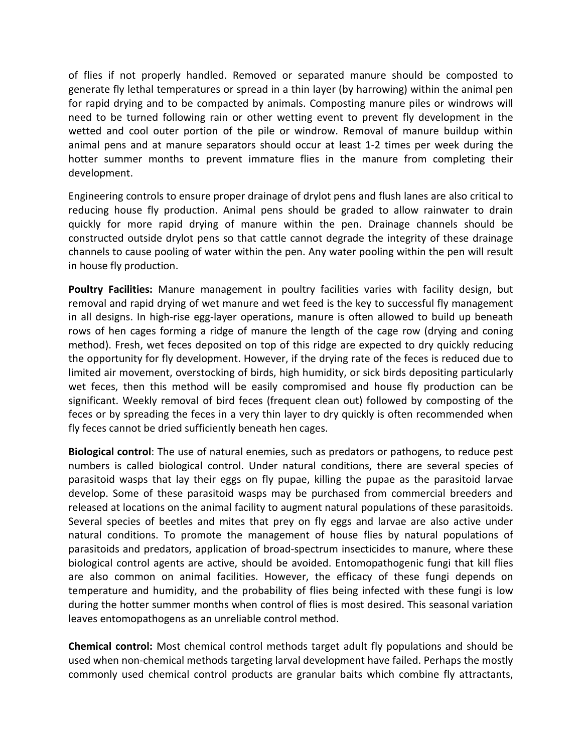of flies if not properly handled. Removed or separated manure should be composted to generate fly lethal temperatures or spread in a thin layer (by harrowing) within the animal pen for rapid drying and to be compacted by animals. Composting manure piles or windrows will need to be turned following rain or other wetting event to prevent fly development in the wetted and cool outer portion of the pile or windrow. Removal of manure buildup within animal pens and at manure separators should occur at least 1-2 times per week during the hotter summer months to prevent immature flies in the manure from completing their development.

Engineering controls to ensure proper drainage of drylot pens and flush lanes are also critical to reducing house fly production. Animal pens should be graded to allow rainwater to drain quickly for more rapid drying of manure within the pen. Drainage channels should be constructed outside drylot pens so that cattle cannot degrade the integrity of these drainage channels to cause pooling of water within the pen. Any water pooling within the pen will result in house fly production.

Poultry Facilities: Manure management in poultry facilities varies with facility design, but removal and rapid drying of wet manure and wet feed is the key to successful fly management in all designs. In high-rise egg-layer operations, manure is often allowed to build up beneath rows of hen cages forming a ridge of manure the length of the cage row (drying and coning method). Fresh, wet feces deposited on top of this ridge are expected to dry quickly reducing the opportunity for fly development. However, if the drying rate of the feces is reduced due to limited air movement, overstocking of birds, high humidity, or sick birds depositing particularly wet feces, then this method will be easily compromised and house fly production can be significant. Weekly removal of bird feces (frequent clean out) followed by composting of the feces or by spreading the feces in a very thin layer to dry quickly is often recommended when fly feces cannot be dried sufficiently beneath hen cages.

**Biological control**: The use of natural enemies, such as predators or pathogens, to reduce pest numbers is called biological control. Under natural conditions, there are several species of parasitoid wasps that lay their eggs on fly pupae, killing the pupae as the parasitoid larvae develop. Some of these parasitoid wasps may be purchased from commercial breeders and released at locations on the animal facility to augment natural populations of these parasitoids. Several species of beetles and mites that prey on fly eggs and larvae are also active under natural conditions. To promote the management of house flies by natural populations of parasitoids and predators, application of broad-spectrum insecticides to manure, where these biological control agents are active, should be avoided. Entomopathogenic fungi that kill flies are also common on animal facilities. However, the efficacy of these fungi depends on temperature and humidity, and the probability of flies being infected with these fungi is low during the hotter summer months when control of flies is most desired. This seasonal variation leaves entomopathogens as an unreliable control method.

**Chemical control:** Most chemical control methods target adult fly populations and should be used when non-chemical methods targeting larval development have failed. Perhaps the mostly commonly used chemical control products are granular baits which combine fly attractants,